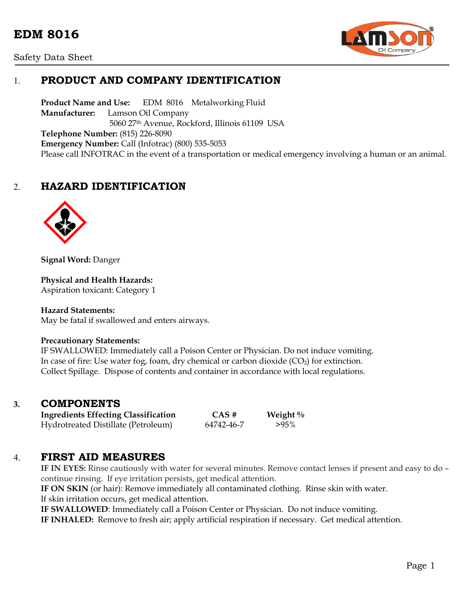# **EDM 8016**





## 1. **PRODUCT AND COMPANY IDENTIFICATION**

**Product Name and Use:** EDM 8016 Metalworking Fluid **Manufacturer:** Lamson Oil Company 5060 27th Avenue, Rockford, Illinois 61109 USA **Telephone Number:** (815) 226-8090 **Emergency Number:** Call (Infotrac) (800) 535-5053 Please call INFOTRAC in the event of a transportation or medical emergency involving a human or an animal.

## 2. **HAZARD IDENTIFICATION**



**Signal Word:** Danger

**Physical and Health Hazards:**

Aspiration toxicant: Category 1

#### **Hazard Statements:**

May be fatal if swallowed and enters airways.

#### **Precautionary Statements:**

IF SWALLOWED: Immediately call a Poison Center or Physician. Do not induce vomiting. In case of fire: Use water fog, foam, dry chemical or carbon dioxide  $(CO_2)$  for extinction. Collect Spillage. Dispose of contents and container in accordance with local regulations.

### **3. COMPONENTS**

**Ingredients Effecting Classification CAS # Weight %** Hydrotreated Distillate (Petroleum) 64742-46-7 >95%

### 4. **FIRST AID MEASURES**

**IF IN EYES:** Rinse cautiously with water for several minutes. Remove contact lenses if present and easy to do – continue rinsing. If eye irritation persists, get medical attention.

**IF ON SKIN** (or hair): Remove immediately all contaminated clothing. Rinse skin with water. If skin irritation occurs, get medical attention.

**IF SWALLOWED**: Immediately call a Poison Center or Physician. Do not induce vomiting.

**IF INHALED:** Remove to fresh air; apply artificial respiration if necessary. Get medical attention.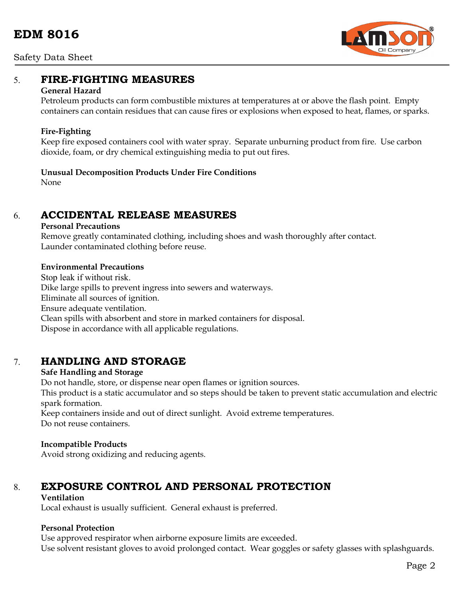

## 5. **FIRE-FIGHTING MEASURES**

### **General Hazard**

Petroleum products can form combustible mixtures at temperatures at or above the flash point. Empty containers can contain residues that can cause fires or explosions when exposed to heat, flames, or sparks.

### **Fire-Fighting**

Keep fire exposed containers cool with water spray. Separate unburning product from fire. Use carbon dioxide, foam, or dry chemical extinguishing media to put out fires.

### **Unusual Decomposition Products Under Fire Conditions**

None

## 6. **ACCIDENTAL RELEASE MEASURES**

#### **Personal Precautions**

Remove greatly contaminated clothing, including shoes and wash thoroughly after contact. Launder contaminated clothing before reuse.

#### **Environmental Precautions**

Stop leak if without risk. Dike large spills to prevent ingress into sewers and waterways. Eliminate all sources of ignition. Ensure adequate ventilation. Clean spills with absorbent and store in marked containers for disposal. Dispose in accordance with all applicable regulations.

## 7. **HANDLING AND STORAGE**

### **Safe Handling and Storage**

Do not handle, store, or dispense near open flames or ignition sources.

This product is a static accumulator and so steps should be taken to prevent static accumulation and electric spark formation.

Keep containers inside and out of direct sunlight. Avoid extreme temperatures. Do not reuse containers.

#### **Incompatible Products**

Avoid strong oxidizing and reducing agents.

## 8. **EXPOSURE CONTROL AND PERSONAL PROTECTION**

### **Ventilation**

Local exhaust is usually sufficient. General exhaust is preferred.

### **Personal Protection**

Use approved respirator when airborne exposure limits are exceeded. Use solvent resistant gloves to avoid prolonged contact. Wear goggles or safety glasses with splashguards.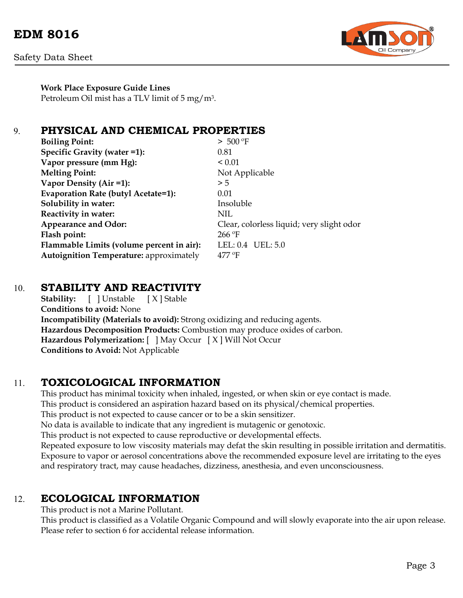

**Work Place Exposure Guide Lines** Petroleum Oil mist has a TLV limit of 5 mg/m3.

## 9. **PHYSICAL AND CHEMICAL PROPERTIES**

| > 500 °F                                  |
|-------------------------------------------|
| 0.81                                      |
| ${}_{0.01}$                               |
| Not Applicable                            |
| > 5                                       |
| 0.01                                      |
| Insoluble                                 |
| NIL                                       |
| Clear, colorless liquid; very slight odor |
| $266$ °F                                  |
| LEL: $0.4$ UEL: $5.0$                     |
| $477$ °F                                  |
|                                           |

## 10. **STABILITY AND REACTIVITY**

**Stability:** [ ] Unstable [ X ] Stable **Conditions to avoid:** None **Incompatibility (Materials to avoid):** Strong oxidizing and reducing agents. **Hazardous Decomposition Products:** Combustion may produce oxides of carbon. **Hazardous Polymerization:** [ ] May Occur [ X ] Will Not Occur **Conditions to Avoid:** Not Applicable

## 11. **TOXICOLOGICAL INFORMATION**

This product has minimal toxicity when inhaled, ingested, or when skin or eye contact is made. This product is considered an aspiration hazard based on its physical/chemical properties. This product is not expected to cause cancer or to be a skin sensitizer. No data is available to indicate that any ingredient is mutagenic or genotoxic. This product is not expected to cause reproductive or developmental effects. Repeated exposure to low viscosity materials may defat the skin resulting in possible irritation and dermatitis. Exposure to vapor or aerosol concentrations above the recommended exposure level are irritating to the eyes and respiratory tract, may cause headaches, dizziness, anesthesia, and even unconsciousness.

### 12. **ECOLOGICAL INFORMATION**

This product is not a Marine Pollutant.

This product is classified as a Volatile Organic Compound and will slowly evaporate into the air upon release. Please refer to section 6 for accidental release information.